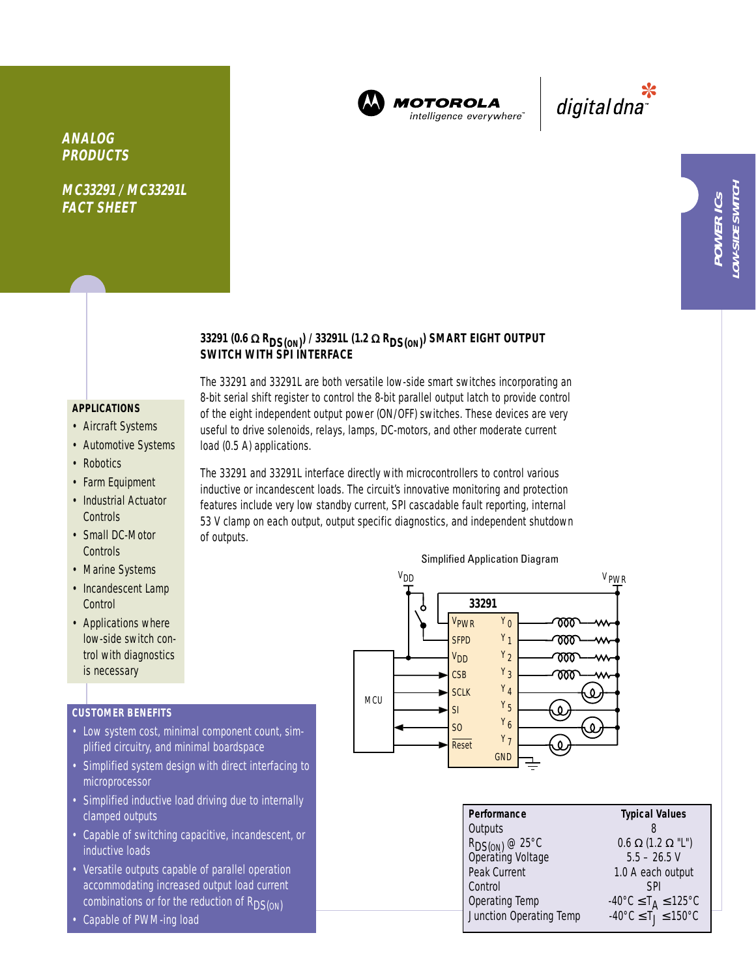

**MOTOROLA** intelligence everywhere

\*<br>"digital dna

**MC33291 / MC33291L FACT SHEET**

## **33291 (0.6** <sup>Ω</sup> **RDS(ON) ) / 33291L (1.2** <sup>Ω</sup> **RDS(ON) ) SMART EIGHT OUTPUT SWITCH WITH SPI INTERFACE**

### **APPLICATIONS**

- Aircraft Systems
- Automotive Systems
- Robotics
- Farm Equipment
- Industrial Actuator **Controls**
- Small DC-Motor **Controls**
- Marine Systems
- Incandescent Lamp **Control**
- Applications where low-side switch control with diagnostics is necessary

### **CUSTOMER BENEFITS**

- Low system cost, minimal component count, simplified circuitry, and minimal boardspace
- Simplified system design with direct interfacing to microprocessor
- Simplified inductive load driving due to internally clamped outputs
- Capable of switching capacitive, incandescent, or inductive loads
- Versatile outputs capable of parallel operation accommodating increased output load current combinations or for the reduction of  $R_{DS(ON)}$
- Capable of PWM-ing load

# 8-bit serial shift register to control the 8-bit parallel output latch to provide control of the eight independent output power (ON/OFF) switches. These devices are very useful to drive solenoids, relays, lamps, DC-motors, and other moderate current load (0.5 A) applications.

The 33291 and 33291L are both versatile low-side smart switches incorporating an

The 33291 and 33291L interface directly with microcontrollers to control various inductive or incandescent loads. The circuit's innovative monitoring and protection features include very low standby current, SPI cascadable fault reporting, internal 53 V clamp on each output, output specific diagnostics, and independent shutdown of outputs.



| Performance                                     | <b>Typical Values</b>                                            |  |  |
|-------------------------------------------------|------------------------------------------------------------------|--|--|
| Outputs                                         |                                                                  |  |  |
| R <sub>DS(ON)</sub> @ 25°C<br>Operating Voltage | $0.6 \Omega (1.2 \Omega$ "L")                                    |  |  |
|                                                 | $5.5 - 26.5$ V                                                   |  |  |
| Peak Current                                    | 1.0 A each output                                                |  |  |
| Control                                         | SPI                                                              |  |  |
| Operating Temp                                  | -40°C ≤ T <sub>A</sub> ≤ 125°C<br>-40°C ≤ T <sub>J</sub> ≤ 150°C |  |  |
| Junction Operating Temp                         |                                                                  |  |  |